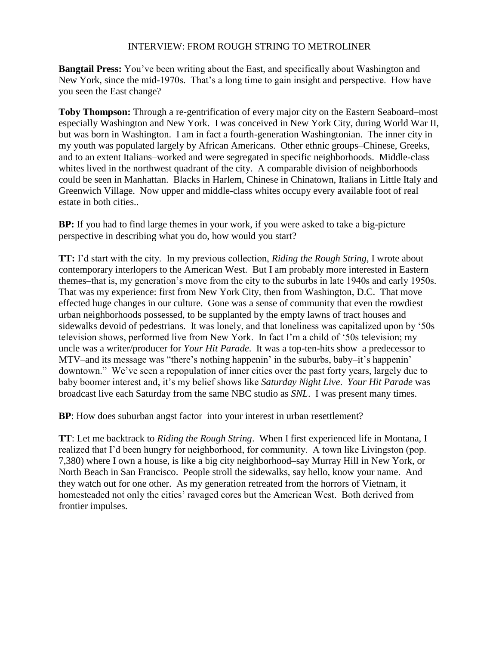## INTERVIEW: FROM ROUGH STRING TO METROLINER

**Bangtail Press:** You've been writing about the East, and specifically about Washington and New York, since the mid-1970s. That's a long time to gain insight and perspective. How have you seen the East change?

**Toby Thompson:** Through a re-gentrification of every major city on the Eastern Seaboard–most especially Washington and New York. I was conceived in New York City, during World War II, but was born in Washington. I am in fact a fourth-generation Washingtonian. The inner city in my youth was populated largely by African Americans. Other ethnic groups–Chinese, Greeks, and to an extent Italians–worked and were segregated in specific neighborhoods. Middle-class whites lived in the northwest quadrant of the city. A comparable division of neighborhoods could be seen in Manhattan. Blacks in Harlem, Chinese in Chinatown, Italians in Little Italy and Greenwich Village. Now upper and middle-class whites occupy every available foot of real estate in both cities..

**BP:** If you had to find large themes in your work, if you were asked to take a big-picture perspective in describing what you do, how would you start?

**TT:** I'd start with the city. In my previous collection, *Riding the Rough String*, I wrote about contemporary interlopers to the American West. But I am probably more interested in Eastern themes–that is, my generation's move from the city to the suburbs in late 1940s and early 1950s. That was my experience: first from New York City, then from Washington, D.C. That move effected huge changes in our culture. Gone was a sense of community that even the rowdiest urban neighborhoods possessed, to be supplanted by the empty lawns of tract houses and sidewalks devoid of pedestrians. It was lonely, and that loneliness was capitalized upon by '50s television shows, performed live from New York. In fact I'm a child of '50s television; my uncle was a writer/producer for *Your Hit Parade*. It was a top-ten-hits show–a predecessor to MTV–and its message was "there's nothing happenin' in the suburbs, baby–it's happenin' downtown." We've seen a repopulation of inner cities over the past forty years, largely due to baby boomer interest and, it's my belief shows like *Saturday Night Live*. *Your Hit Parade* was broadcast live each Saturday from the same NBC studio as *SNL*. I was present many times.

**BP**: How does suburban angst factor into your interest in urban resettlement?

**TT**: Let me backtrack to *Riding the Rough String*. When I first experienced life in Montana, I realized that I'd been hungry for neighborhood, for community. A town like Livingston (pop. 7,380) where I own a house, is like a big city neighborhood–say Murray Hill in New York, or North Beach in San Francisco. People stroll the sidewalks, say hello, know your name. And they watch out for one other. As my generation retreated from the horrors of Vietnam, it homesteaded not only the cities' ravaged cores but the American West. Both derived from frontier impulses.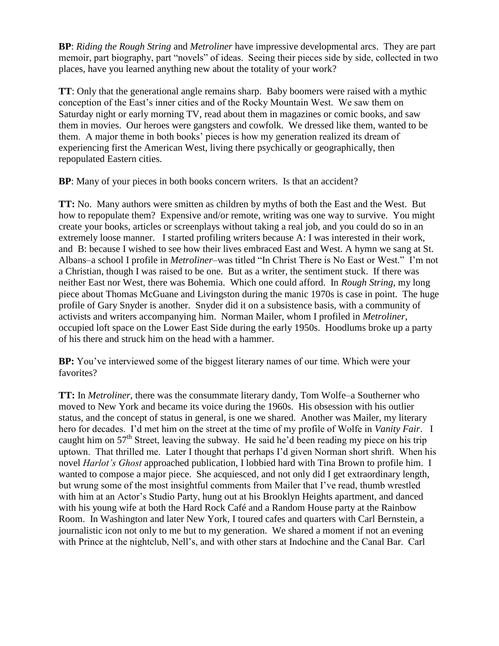**BP**: *Riding the Rough String* and *Metroliner* have impressive developmental arcs. They are part memoir, part biography, part "novels" of ideas. Seeing their pieces side by side, collected in two places, have you learned anything new about the totality of your work?

**TT**: Only that the generational angle remains sharp. Baby boomers were raised with a mythic conception of the East's inner cities and of the Rocky Mountain West. We saw them on Saturday night or early morning TV, read about them in magazines or comic books, and saw them in movies. Our heroes were gangsters and cowfolk. We dressed like them, wanted to be them. A major theme in both books' pieces is how my generation realized its dream of experiencing first the American West, living there psychically or geographically, then repopulated Eastern cities.

**BP**: Many of your pieces in both books concern writers. Is that an accident?

**TT:** No. Many authors were smitten as children by myths of both the East and the West. But how to repopulate them? Expensive and/or remote, writing was one way to survive. You might create your books, articles or screenplays without taking a real job, and you could do so in an extremely loose manner. I started profiling writers because A: I was interested in their work, and B: because I wished to see how their lives embraced East and West. A hymn we sang at St. Albans–a school I profile in *Metroliner*–was titled "In Christ There is No East or West." I'm not a Christian, though I was raised to be one. But as a writer, the sentiment stuck. If there was neither East nor West, there was Bohemia. Which one could afford. In *Rough String*, my long piece about Thomas McGuane and Livingston during the manic 1970s is case in point. The huge profile of Gary Snyder is another. Snyder did it on a subsistence basis, with a community of activists and writers accompanying him. Norman Mailer, whom I profiled in *Metroliner*, occupied loft space on the Lower East Side during the early 1950s. Hoodlums broke up a party of his there and struck him on the head with a hammer.

**BP:** You've interviewed some of the biggest literary names of our time. Which were your favorites?

**TT:** In *Metroliner*, there was the consummate literary dandy, Tom Wolfe–a Southerner who moved to New York and became its voice during the 1960s. His obsession with his outlier status, and the concept of status in general, is one we shared. Another was Mailer, my literary hero for decades. I'd met him on the street at the time of my profile of Wolfe in *Vanity Fair*. I caught him on 57<sup>th</sup> Street, leaving the subway. He said he'd been reading my piece on his trip uptown. That thrilled me. Later I thought that perhaps I'd given Norman short shrift. When his novel *Harlot's Ghost* approached publication, I lobbied hard with Tina Brown to profile him. I wanted to compose a major piece. She acquiesced, and not only did I get extraordinary length, but wrung some of the most insightful comments from Mailer that I've read, thumb wrestled with him at an Actor's Studio Party, hung out at his Brooklyn Heights apartment, and danced with his young wife at both the Hard Rock Café and a Random House party at the Rainbow Room. In Washington and later New York, I toured cafes and quarters with Carl Bernstein, a journalistic icon not only to me but to my generation. We shared a moment if not an evening with Prince at the nightclub, Nell's, and with other stars at Indochine and the Canal Bar. Carl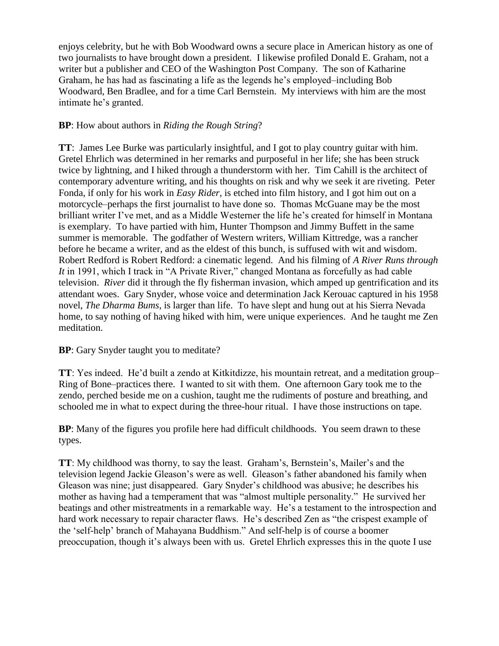enjoys celebrity, but he with Bob Woodward owns a secure place in American history as one of two journalists to have brought down a president. I likewise profiled Donald E. Graham, not a writer but a publisher and CEO of the Washington Post Company. The son of Katharine Graham, he has had as fascinating a life as the legends he's employed–including Bob Woodward, Ben Bradlee, and for a time Carl Bernstein. My interviews with him are the most intimate he's granted.

## **BP**: How about authors in *Riding the Rough String*?

**TT**: James Lee Burke was particularly insightful, and I got to play country guitar with him. Gretel Ehrlich was determined in her remarks and purposeful in her life; she has been struck twice by lightning, and I hiked through a thunderstorm with her. Tim Cahill is the architect of contemporary adventure writing, and his thoughts on risk and why we seek it are riveting. Peter Fonda, if only for his work in *Easy Rider*, is etched into film history, and I got him out on a motorcycle–perhaps the first journalist to have done so. Thomas McGuane may be the most brilliant writer I've met, and as a Middle Westerner the life he's created for himself in Montana is exemplary. To have partied with him, Hunter Thompson and Jimmy Buffett in the same summer is memorable. The godfather of Western writers, William Kittredge, was a rancher before he became a writer, and as the eldest of this bunch, is suffused with wit and wisdom. Robert Redford is Robert Redford: a cinematic legend. And his filming of *A River Runs through It* in 1991, which I track in "A Private River," changed Montana as forcefully as had cable television. *River* did it through the fly fisherman invasion, which amped up gentrification and its attendant woes. Gary Snyder, whose voice and determination Jack Kerouac captured in his 1958 novel, *The Dharma Bums*, is larger than life. To have slept and hung out at his Sierra Nevada home, to say nothing of having hiked with him, were unique experiences. And he taught me Zen meditation.

**BP**: Gary Snyder taught you to meditate?

**TT**: Yes indeed. He'd built a zendo at Kitkitdizze, his mountain retreat, and a meditation group– Ring of Bone–practices there. I wanted to sit with them. One afternoon Gary took me to the zendo, perched beside me on a cushion, taught me the rudiments of posture and breathing, and schooled me in what to expect during the three-hour ritual. I have those instructions on tape.

**BP**: Many of the figures you profile here had difficult childhoods. You seem drawn to these types.

**TT**: My childhood was thorny, to say the least. Graham's, Bernstein's, Mailer's and the television legend Jackie Gleason's were as well. Gleason's father abandoned his family when Gleason was nine; just disappeared. Gary Snyder's childhood was abusive; he describes his mother as having had a temperament that was "almost multiple personality." He survived her beatings and other mistreatments in a remarkable way. He's a testament to the introspection and hard work necessary to repair character flaws. He's described Zen as "the crispest example of the 'self-help' branch of Mahayana Buddhism." And self-help is of course a boomer preoccupation, though it's always been with us. Gretel Ehrlich expresses this in the quote I use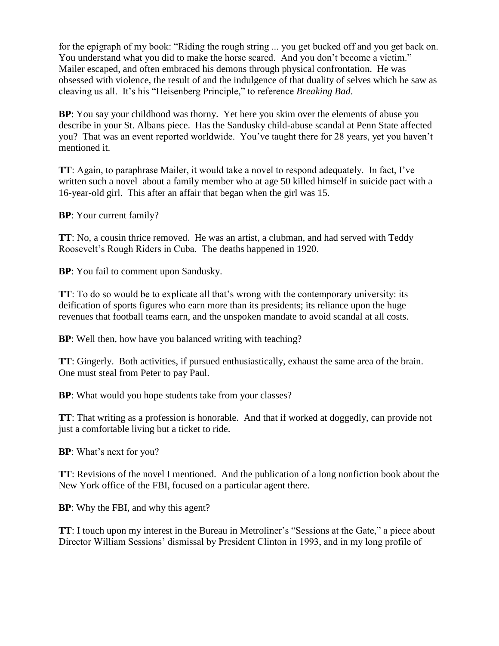for the epigraph of my book: "Riding the rough string ... you get bucked off and you get back on. You understand what you did to make the horse scared. And you don't become a victim." Mailer escaped, and often embraced his demons through physical confrontation. He was obsessed with violence, the result of and the indulgence of that duality of selves which he saw as cleaving us all. It's his "Heisenberg Principle," to reference *Breaking Bad*.

**BP**: You say your childhood was thorny. Yet here you skim over the elements of abuse you describe in your St. Albans piece. Has the Sandusky child-abuse scandal at Penn State affected you? That was an event reported worldwide. You've taught there for 28 years, yet you haven't mentioned it.

**TT**: Again, to paraphrase Mailer, it would take a novel to respond adequately. In fact, I've written such a novel–about a family member who at age 50 killed himself in suicide pact with a 16-year-old girl. This after an affair that began when the girl was 15.

**BP**: Your current family?

**TT**: No, a cousin thrice removed. He was an artist, a clubman, and had served with Teddy Roosevelt's Rough Riders in Cuba. The deaths happened in 1920.

**BP**: You fail to comment upon Sandusky.

**TT**: To do so would be to explicate all that's wrong with the contemporary university: its deification of sports figures who earn more than its presidents; its reliance upon the huge revenues that football teams earn, and the unspoken mandate to avoid scandal at all costs.

**BP**: Well then, how have you balanced writing with teaching?

**TT**: Gingerly. Both activities, if pursued enthusiastically, exhaust the same area of the brain. One must steal from Peter to pay Paul.

**BP**: What would you hope students take from your classes?

**TT**: That writing as a profession is honorable. And that if worked at doggedly, can provide not just a comfortable living but a ticket to ride.

**BP**: What's next for you?

**TT**: Revisions of the novel I mentioned. And the publication of a long nonfiction book about the New York office of the FBI, focused on a particular agent there.

**BP**: Why the FBI, and why this agent?

**TT**: I touch upon my interest in the Bureau in Metroliner's "Sessions at the Gate," a piece about Director William Sessions' dismissal by President Clinton in 1993, and in my long profile of